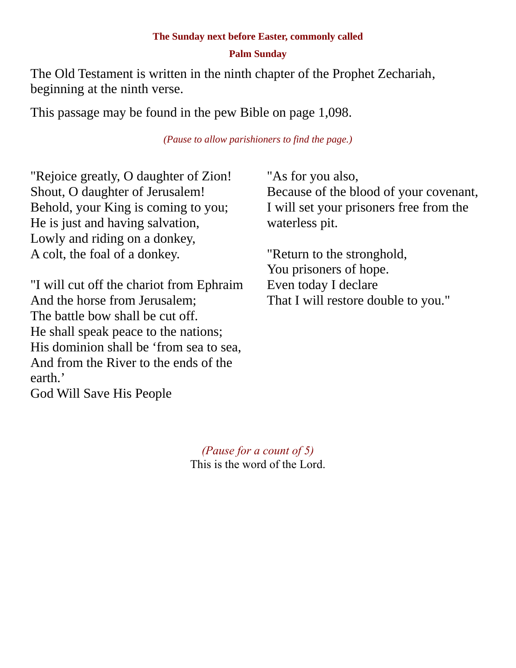### **Palm Sunday**

The Old Testament is written in the ninth chapter of the Prophet Zechariah, beginning at the ninth verse.

This passage may be found in the pew Bible on page 1,098.

*(Pause to allow parishioners to find the page.)*

"Rejoice greatly, O daughter of Zion! Shout, O daughter of Jerusalem! Behold, your King is coming to you; He is just and having salvation, Lowly and riding on a donkey, A colt, the foal of a donkey.

"I will cut off the chariot from Ephraim And the horse from Jerusalem; The battle bow shall be cut off. He shall speak peace to the nations; His dominion shall be 'from sea to sea, And from the River to the ends of the earth.'

God Will Save His People

"As for you also, Because of the blood of your covenant, I will set your prisoners free from the waterless pit.

"Return to the stronghold, You prisoners of hope. Even today I declare That I will restore double to you."

*(Pause for a count of 5)* This is the word of the Lord.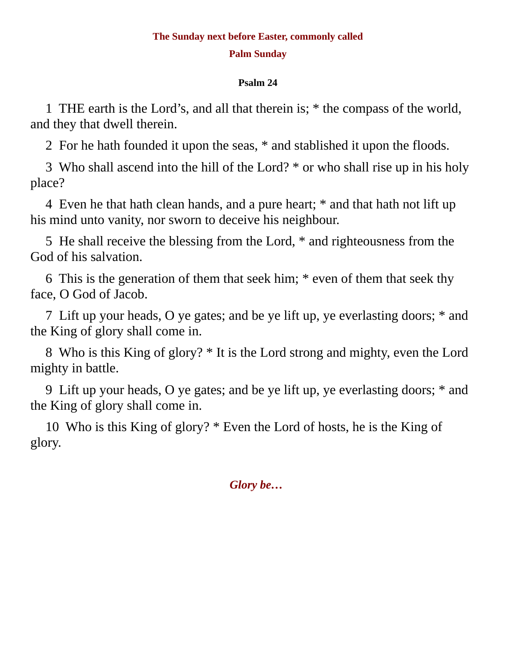### **Palm Sunday**

### **Psalm 24**

1 THE earth is the Lord's, and all that therein is; \* the compass of the world, and they that dwell therein.

2 For he hath founded it upon the seas, \* and stablished it upon the floods.

3 Who shall ascend into the hill of the Lord? \* or who shall rise up in his holy place?

4 Even he that hath clean hands, and a pure heart; \* and that hath not lift up his mind unto vanity, nor sworn to deceive his neighbour.

5 He shall receive the blessing from the Lord, \* and righteousness from the God of his salvation.

6 This is the generation of them that seek him; \* even of them that seek thy face, O God of Jacob.

7 Lift up your heads, O ye gates; and be ye lift up, ye everlasting doors; \* and the King of glory shall come in.

8 Who is this King of glory? \* It is the Lord strong and mighty, even the Lord mighty in battle.

9 Lift up your heads, O ye gates; and be ye lift up, ye everlasting doors; \* and the King of glory shall come in.

10 Who is this King of glory? \* Even the Lord of hosts, he is the King of glory.

*Glory be…*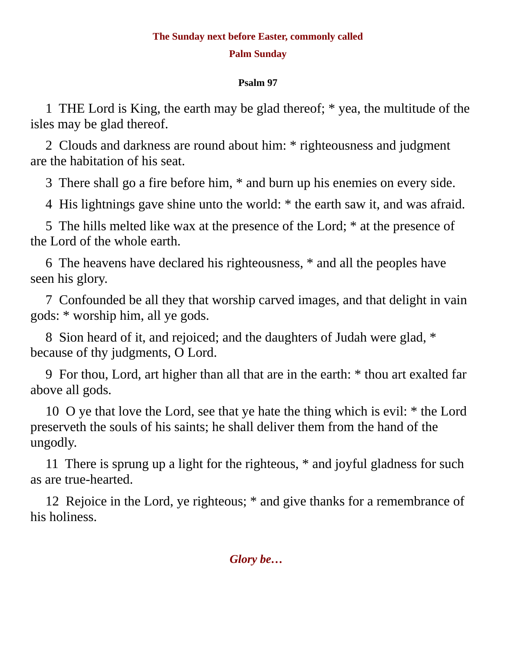### **Palm Sunday**

### **Psalm 97**

1 THE Lord is King, the earth may be glad thereof; \* yea, the multitude of the isles may be glad thereof.

2 Clouds and darkness are round about him: \* righteousness and judgment are the habitation of his seat.

3 There shall go a fire before him, \* and burn up his enemies on every side.

4 His lightnings gave shine unto the world: \* the earth saw it, and was afraid.

5 The hills melted like wax at the presence of the Lord; \* at the presence of the Lord of the whole earth.

6 The heavens have declared his righteousness, \* and all the peoples have seen his glory.

7 Confounded be all they that worship carved images, and that delight in vain gods: \* worship him, all ye gods.

8 Sion heard of it, and rejoiced; and the daughters of Judah were glad, \* because of thy judgments, O Lord.

9 For thou, Lord, art higher than all that are in the earth: \* thou art exalted far above all gods.

10 O ye that love the Lord, see that ye hate the thing which is evil: \* the Lord preserveth the souls of his saints; he shall deliver them from the hand of the ungodly.

11 There is sprung up a light for the righteous, \* and joyful gladness for such as are true-hearted.

12 Rejoice in the Lord, ye righteous; \* and give thanks for a remembrance of his holiness.

*Glory be…*